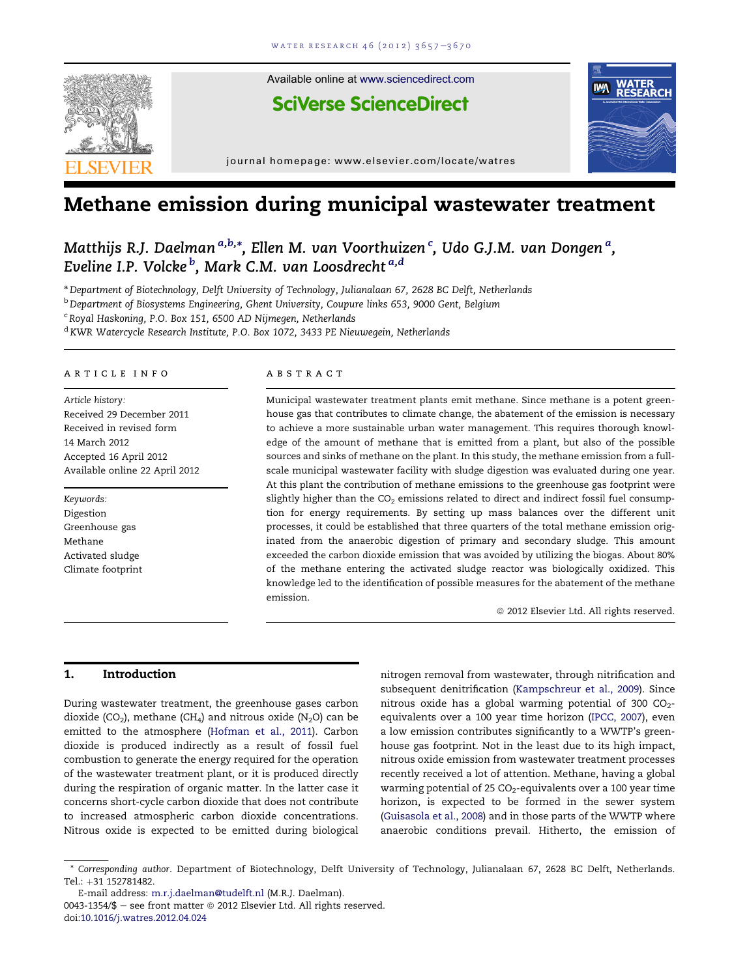

# Methane emission during municipal wastewater treatment

Matthijs R.J. Daelman<sup>a,b,</sup>\*, Ellen M. van Voorthuizen <sup>c</sup>, Udo G.J.M. van Dongen <sup>a</sup>, Eveline I.P. Volcke <sup>b</sup>, Mark C.M. van Loosdrecht <sup>a,d</sup>

a Department of Biotechnology, Delft University of Technology, Julianalaan 67, 2628 BC Delft, Netherlands

<sup>b</sup> Department of Biosystems Engineering, Ghent University, Coupure links 653, 9000 Gent, Belgium

<sup>c</sup> Royal Haskoning, P.O. Box 151, 6500 AD Nijmegen, Netherlands

<sup>d</sup> KWR Watercycle Research Institute, P.O. Box 1072, 3433 PE Nieuwegein, Netherlands

## article info

Article history: Received 29 December 2011 Received in revised form 14 March 2012 Accepted 16 April 2012 Available online 22 April 2012

Keywords: Digestion Greenhouse gas Methane Activated sludge Climate footprint

# **ABSTRACT**

Municipal wastewater treatment plants emit methane. Since methane is a potent greenhouse gas that contributes to climate change, the abatement of the emission is necessary to achieve a more sustainable urban water management. This requires thorough knowledge of the amount of methane that is emitted from a plant, but also of the possible sources and sinks of methane on the plant. In this study, the methane emission from a fullscale municipal wastewater facility with sludge digestion was evaluated during one year. At this plant the contribution of methane emissions to the greenhouse gas footprint were slightly higher than the  $CO<sub>2</sub>$  emissions related to direct and indirect fossil fuel consumption for energy requirements. By setting up mass balances over the different unit processes, it could be established that three quarters of the total methane emission originated from the anaerobic digestion of primary and secondary sludge. This amount exceeded the carbon dioxide emission that was avoided by utilizing the biogas. About 80% of the methane entering the activated sludge reactor was biologically oxidized. This knowledge led to the identification of possible measures for the abatement of the methane emission.

 $@$  2012 Elsevier Ltd. All rights reserved.

# 1. Introduction

During wastewater treatment, the greenhouse gases carbon dioxide (CO<sub>2</sub>), methane (CH<sub>4</sub>) and nitrous oxide (N<sub>2</sub>O) can be emitted to the atmosphere ([Hofman et al., 2011](#page-12-0)). Carbon dioxide is produced indirectly as a result of fossil fuel combustion to generate the energy required for the operation of the wastewater treatment plant, or it is produced directly during the respiration of organic matter. In the latter case it concerns short-cycle carbon dioxide that does not contribute to increased atmospheric carbon dioxide concentrations. Nitrous oxide is expected to be emitted during biological

nitrogen removal from wastewater, through nitrification and subsequent denitrification ([Kampschreur et al., 2009\)](#page-12-0). Since nitrous oxide has a global warming potential of 300  $CO<sub>2</sub>$ equivalents over a 100 year time horizon [\(IPCC, 2007](#page-12-0)), even a low emission contributes significantly to a WWTP's greenhouse gas footprint. Not in the least due to its high impact, nitrous oxide emission from wastewater treatment processes recently received a lot of attention. Methane, having a global warming potential of 25  $CO_2$ -equivalents over a 100 year time horizon, is expected to be formed in the sewer system [\(Guisasola et al., 2008](#page-12-0)) and in those parts of the WWTP where anaerobic conditions prevail. Hitherto, the emission of

E-mail address: [m.r.j.daelman@tudelft.nl](mailto:m.r.j.daelman@tudelft.nl) (M.R.J. Daelman).  $0043-1354/\$$  – see front matter  $\degree$  2012 Elsevier Ltd. All rights reserved. doi[:10.1016/j.watres.2012.04.024](http://dx.doi.org/10.1016/j.watres.2012.04.024)

<sup>\*</sup> Corresponding author. Department of Biotechnology, Delft University of Technology, Julianalaan 67, 2628 BC Delft, Netherlands. Tel.: +31 152781482.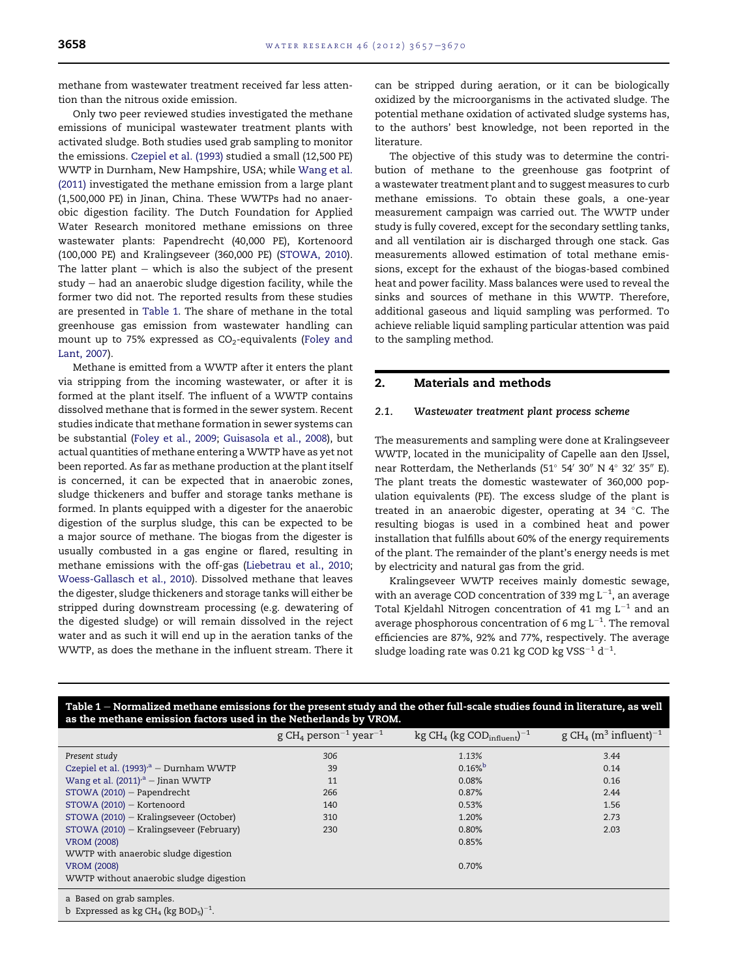<span id="page-1-0"></span>methane from wastewater treatment received far less attention than the nitrous oxide emission.

Only two peer reviewed studies investigated the methane emissions of municipal wastewater treatment plants with activated sludge. Both studies used grab sampling to monitor the emissions. [Czepiel et al. \(1993\)](#page-12-0) studied a small (12,500 PE) WWTP in Durnham, New Hampshire, USA; while [Wang et al.](#page-12-0) [\(2011\)](#page-12-0) investigated the methane emission from a large plant (1,500,000 PE) in Jinan, China. These WWTPs had no anaerobic digestion facility. The Dutch Foundation for Applied Water Research monitored methane emissions on three wastewater plants: Papendrecht (40,000 PE), Kortenoord (100,000 PE) and Kralingseveer (360,000 PE) [\(STOWA, 2010\)](#page-12-0). The latter plant  $-$  which is also the subject of the present  $study - had an anaerobic sludge digestion facility, while the$ former two did not. The reported results from these studies are presented in Table 1. The share of methane in the total greenhouse gas emission from wastewater handling can mount up to 75% expressed as  $CO<sub>2</sub>$ -equivalents [\(Foley and](#page-12-0) [Lant, 2007](#page-12-0)).

Methane is emitted from a WWTP after it enters the plant via stripping from the incoming wastewater, or after it is formed at the plant itself. The influent of a WWTP contains dissolved methane that is formed in the sewer system. Recent studies indicate that methane formation in sewer systems can be substantial ([Foley et al., 2009;](#page-12-0) [Guisasola et al., 2008](#page-12-0)), but actual quantities of methane entering a WWTP have as yet not been reported. As far as methane production at the plant itself is concerned, it can be expected that in anaerobic zones, sludge thickeners and buffer and storage tanks methane is formed. In plants equipped with a digester for the anaerobic digestion of the surplus sludge, this can be expected to be a major source of methane. The biogas from the digester is usually combusted in a gas engine or flared, resulting in methane emissions with the off-gas ([Liebetrau et al., 2010](#page-12-0); [Woess-Gallasch et al., 2010\)](#page-13-0). Dissolved methane that leaves the digester, sludge thickeners and storage tanks will either be stripped during downstream processing (e.g. dewatering of the digested sludge) or will remain dissolved in the reject water and as such it will end up in the aeration tanks of the WWTP, as does the methane in the influent stream. There it

can be stripped during aeration, or it can be biologically oxidized by the microorganisms in the activated sludge. The potential methane oxidation of activated sludge systems has, to the authors' best knowledge, not been reported in the literature.

The objective of this study was to determine the contribution of methane to the greenhouse gas footprint of a wastewater treatment plant and to suggest measures to curb methane emissions. To obtain these goals, a one-year measurement campaign was carried out. The WWTP under study is fully covered, except for the secondary settling tanks, and all ventilation air is discharged through one stack. Gas measurements allowed estimation of total methane emissions, except for the exhaust of the biogas-based combined heat and power facility. Mass balances were used to reveal the sinks and sources of methane in this WWTP. Therefore, additional gaseous and liquid sampling was performed. To achieve reliable liquid sampling particular attention was paid to the sampling method.

# 2. Materials and methods

#### 2.1. Wastewater treatment plant process scheme

The measurements and sampling were done at Kralingseveer WWTP, located in the municipality of Capelle aan den IJssel, near Rotterdam, the Netherlands (51 $^{\circ}$  54 $^{\prime}$  30 $^{\prime\prime}$  N 4 $^{\circ}$  32 $^{\prime}$  35 $^{\prime\prime}$  E). The plant treats the domestic wastewater of 360,000 population equivalents (PE). The excess sludge of the plant is treated in an anaerobic digester, operating at 34  $^{\circ}$ C. The resulting biogas is used in a combined heat and power installation that fulfills about 60% of the energy requirements of the plant. The remainder of the plant's energy needs is met by electricity and natural gas from the grid.

Kralingseveer WWTP receives mainly domestic sewage, with an average COD concentration of 339 mg  $L^{-1}$ , an average Total Kjeldahl Nitrogen concentration of 41 mg  $L^{-1}$  and an average phosphorous concentration of 6 mg  $L^{-1}$ . The removal efficiencies are 87%, 92% and 77%, respectively. The average sludge loading rate was 0.21 kg COD kg VSS $^{-1}$  d $^{-1}$ .

| as the methane emission factors used in the Netherlands by VROM. |                                                           |                                                              |                                                           |  |  |
|------------------------------------------------------------------|-----------------------------------------------------------|--------------------------------------------------------------|-----------------------------------------------------------|--|--|
|                                                                  | g CH <sub>4</sub> person <sup>-1</sup> year <sup>-1</sup> | $\text{kg CH}_4$ (kg COD <sub>influent</sub> ) <sup>-1</sup> | g CH <sub>4</sub> (m <sup>3</sup> influent) <sup>-1</sup> |  |  |
| Present study                                                    | 306                                                       | 1.13%                                                        | 3.44                                                      |  |  |
| Czepiel et al. $(1993)a$ – Durnham WWTP                          | 39                                                        | $0.16\%$                                                     | 0.14                                                      |  |  |
| Wang et al. $(2011)^{a}$ – Jinan WWTP                            | 11                                                        | 0.08%                                                        | 0.16                                                      |  |  |
| $STOWA (2010) - Papendrecht$                                     | 266                                                       | 0.87%                                                        | 2.44                                                      |  |  |
| STOWA (2010) - Kortenoord                                        | 140                                                       | 0.53%                                                        | 1.56                                                      |  |  |
| STOWA (2010) – Kralingseveer (October)                           | 310                                                       | 1.20%                                                        | 2.73                                                      |  |  |
| STOWA (2010) – Kralingseveer (February)                          | 230                                                       | 0.80%                                                        | 2.03                                                      |  |  |
| <b>VROM (2008)</b>                                               |                                                           | 0.85%                                                        |                                                           |  |  |
| WWTP with anaerobic sludge digestion                             |                                                           |                                                              |                                                           |  |  |
| <b>VROM (2008)</b>                                               |                                                           | 0.70%                                                        |                                                           |  |  |
| WWTP without anaerobic sludge digestion                          |                                                           |                                                              |                                                           |  |  |
| a Based on grab samples.                                         |                                                           |                                                              |                                                           |  |  |

Table 1 – Normalized methane emissions for the present study and the other full-scale studies found in literature, as well

b Expressed as  $\text{kg CH}_{4}$  (kg BOD<sub>5</sub>) $^{-1}$ .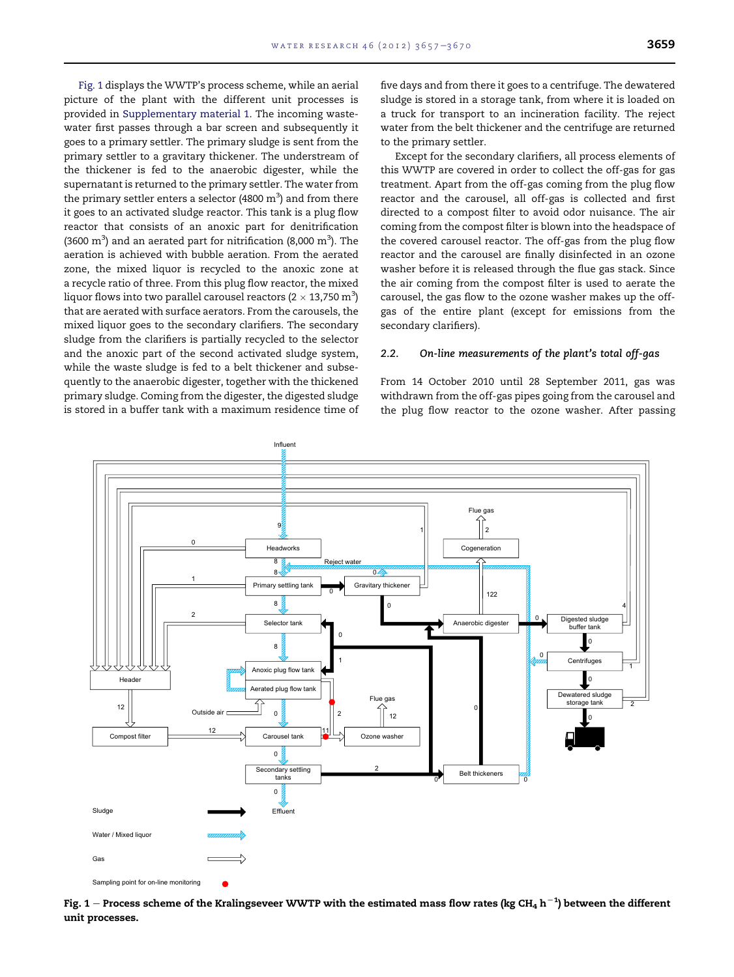<span id="page-2-0"></span>Fig. 1 displays the WWTP's process scheme, while an aerial picture of the plant with the different unit processes is provided in Supplementary material 1. The incoming wastewater first passes through a bar screen and subsequently it goes to a primary settler. The primary sludge is sent from the primary settler to a gravitary thickener. The understream of the thickener is fed to the anaerobic digester, while the supernatant is returned to the primary settler. The water from the primary settler enters a selector (4800  $\mathrm{m}^{3}\mathrm{)}$  and from there it goes to an activated sludge reactor. This tank is a plug flow reactor that consists of an anoxic part for denitrification (3600  $\text{m}^3$ ) and an aerated part for nitrification (8,000  $\text{m}^3$ ). The aeration is achieved with bubble aeration. From the aerated zone, the mixed liquor is recycled to the anoxic zone at a recycle ratio of three. From this plug flow reactor, the mixed liquor flows into two parallel carousel reactors (2  $\times$  13,750 m $^3$ ) that are aerated with surface aerators. From the carousels, the mixed liquor goes to the secondary clarifiers. The secondary sludge from the clarifiers is partially recycled to the selector and the anoxic part of the second activated sludge system, while the waste sludge is fed to a belt thickener and subsequently to the anaerobic digester, together with the thickened primary sludge. Coming from the digester, the digested sludge is stored in a buffer tank with a maximum residence time of five days and from there it goes to a centrifuge. The dewatered sludge is stored in a storage tank, from where it is loaded on a truck for transport to an incineration facility. The reject water from the belt thickener and the centrifuge are returned to the primary settler.

Except for the secondary clarifiers, all process elements of this WWTP are covered in order to collect the off-gas for gas treatment. Apart from the off-gas coming from the plug flow reactor and the carousel, all off-gas is collected and first directed to a compost filter to avoid odor nuisance. The air coming from the compost filter is blown into the headspace of the covered carousel reactor. The off-gas from the plug flow reactor and the carousel are finally disinfected in an ozone washer before it is released through the flue gas stack. Since the air coming from the compost filter is used to aerate the carousel, the gas flow to the ozone washer makes up the offgas of the entire plant (except for emissions from the secondary clarifiers).

## 2.2. On-line measurements of the plant's total off-gas

From 14 October 2010 until 28 September 2011, gas was withdrawn from the off-gas pipes going from the carousel and the plug flow reactor to the ozone washer. After passing



Fig. 1 – Process scheme of the Kralingseveer WWTP with the estimated mass flow rates (kg CH<sub>4</sub> h $^{-1}$ ) between the different unit processes.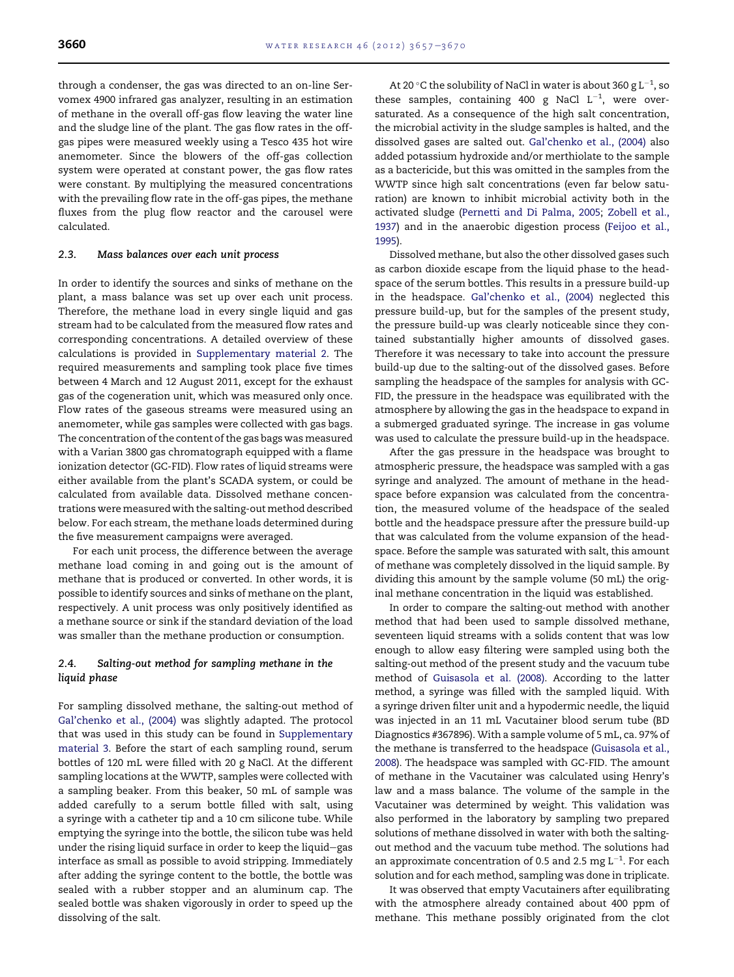through a condenser, the gas was directed to an on-line Servomex 4900 infrared gas analyzer, resulting in an estimation of methane in the overall off-gas flow leaving the water line and the sludge line of the plant. The gas flow rates in the offgas pipes were measured weekly using a Tesco 435 hot wire anemometer. Since the blowers of the off-gas collection system were operated at constant power, the gas flow rates were constant. By multiplying the measured concentrations with the prevailing flow rate in the off-gas pipes, the methane fluxes from the plug flow reactor and the carousel were calculated.

# 2.3. Mass balances over each unit process

In order to identify the sources and sinks of methane on the plant, a mass balance was set up over each unit process. Therefore, the methane load in every single liquid and gas stream had to be calculated from the measured flow rates and corresponding concentrations. A detailed overview of these calculations is provided in Supplementary material 2. The required measurements and sampling took place five times between 4 March and 12 August 2011, except for the exhaust gas of the cogeneration unit, which was measured only once. Flow rates of the gaseous streams were measured using an anemometer, while gas samples were collected with gas bags. The concentration of the content of the gas bags was measured with a Varian 3800 gas chromatograph equipped with a flame ionization detector (GC-FID). Flow rates of liquid streams were either available from the plant's SCADA system, or could be calculated from available data. Dissolved methane concentrations were measured with the salting-out method described below. For each stream, the methane loads determined during the five measurement campaigns were averaged.

For each unit process, the difference between the average methane load coming in and going out is the amount of methane that is produced or converted. In other words, it is possible to identify sources and sinks of methane on the plant, respectively. A unit process was only positively identified as a methane source or sink if the standard deviation of the load was smaller than the methane production or consumption.

# 2.4. Salting-out method for sampling methane in the liquid phase

For sampling dissolved methane, the salting-out method of [Gal'chenko et al., \(2004\)](#page-12-0) was slightly adapted. The protocol that was used in this study can be found in Supplementary material 3. Before the start of each sampling round, serum bottles of 120 mL were filled with 20 g NaCl. At the different sampling locations at the WWTP, samples were collected with a sampling beaker. From this beaker, 50 mL of sample was added carefully to a serum bottle filled with salt, using a syringe with a catheter tip and a 10 cm silicone tube. While emptying the syringe into the bottle, the silicon tube was held under the rising liquid surface in order to keep the liquid-gas interface as small as possible to avoid stripping. Immediately after adding the syringe content to the bottle, the bottle was sealed with a rubber stopper and an aluminum cap. The sealed bottle was shaken vigorously in order to speed up the dissolving of the salt.

At 20 °C the solubility of NaCl in water is about 360 g  $\mathrm{L}^{-1}$ , so these samples, containing 400 g NaCl  $L^{-1}$ , were oversaturated. As a consequence of the high salt concentration, the microbial activity in the sludge samples is halted, and the dissolved gases are salted out. [Gal'chenko et al., \(2004\)](#page-12-0) also added potassium hydroxide and/or merthiolate to the sample as a bactericide, but this was omitted in the samples from the WWTP since high salt concentrations (even far below saturation) are known to inhibit microbial activity both in the activated sludge [\(Pernetti and Di Palma, 2005](#page-12-0); [Zobell et al.,](#page-13-0) [1937\)](#page-13-0) and in the anaerobic digestion process [\(Feijoo et al.,](#page-12-0) [1995\)](#page-12-0).

Dissolved methane, but also the other dissolved gases such as carbon dioxide escape from the liquid phase to the headspace of the serum bottles. This results in a pressure build-up in the headspace. [Gal'chenko et al., \(2004\)](#page-12-0) neglected this pressure build-up, but for the samples of the present study, the pressure build-up was clearly noticeable since they contained substantially higher amounts of dissolved gases. Therefore it was necessary to take into account the pressure build-up due to the salting-out of the dissolved gases. Before sampling the headspace of the samples for analysis with GC-FID, the pressure in the headspace was equilibrated with the atmosphere by allowing the gas in the headspace to expand in a submerged graduated syringe. The increase in gas volume was used to calculate the pressure build-up in the headspace.

After the gas pressure in the headspace was brought to atmospheric pressure, the headspace was sampled with a gas syringe and analyzed. The amount of methane in the headspace before expansion was calculated from the concentration, the measured volume of the headspace of the sealed bottle and the headspace pressure after the pressure build-up that was calculated from the volume expansion of the headspace. Before the sample was saturated with salt, this amount of methane was completely dissolved in the liquid sample. By dividing this amount by the sample volume (50 mL) the original methane concentration in the liquid was established.

In order to compare the salting-out method with another method that had been used to sample dissolved methane, seventeen liquid streams with a solids content that was low enough to allow easy filtering were sampled using both the salting-out method of the present study and the vacuum tube method of [Guisasola et al. \(2008\).](#page-12-0) According to the latter method, a syringe was filled with the sampled liquid. With a syringe driven filter unit and a hypodermic needle, the liquid was injected in an 11 mL Vacutainer blood serum tube (BD Diagnostics #367896). With a sample volume of 5 mL, ca. 97% of the methane is transferred to the headspace [\(Guisasola et al.,](#page-12-0) [2008\)](#page-12-0). The headspace was sampled with GC-FID. The amount of methane in the Vacutainer was calculated using Henry's law and a mass balance. The volume of the sample in the Vacutainer was determined by weight. This validation was also performed in the laboratory by sampling two prepared solutions of methane dissolved in water with both the saltingout method and the vacuum tube method. The solutions had an approximate concentration of 0.5 and 2.5 mg  $L^{-1}$ . For each solution and for each method, sampling was done in triplicate.

It was observed that empty Vacutainers after equilibrating with the atmosphere already contained about 400 ppm of methane. This methane possibly originated from the clot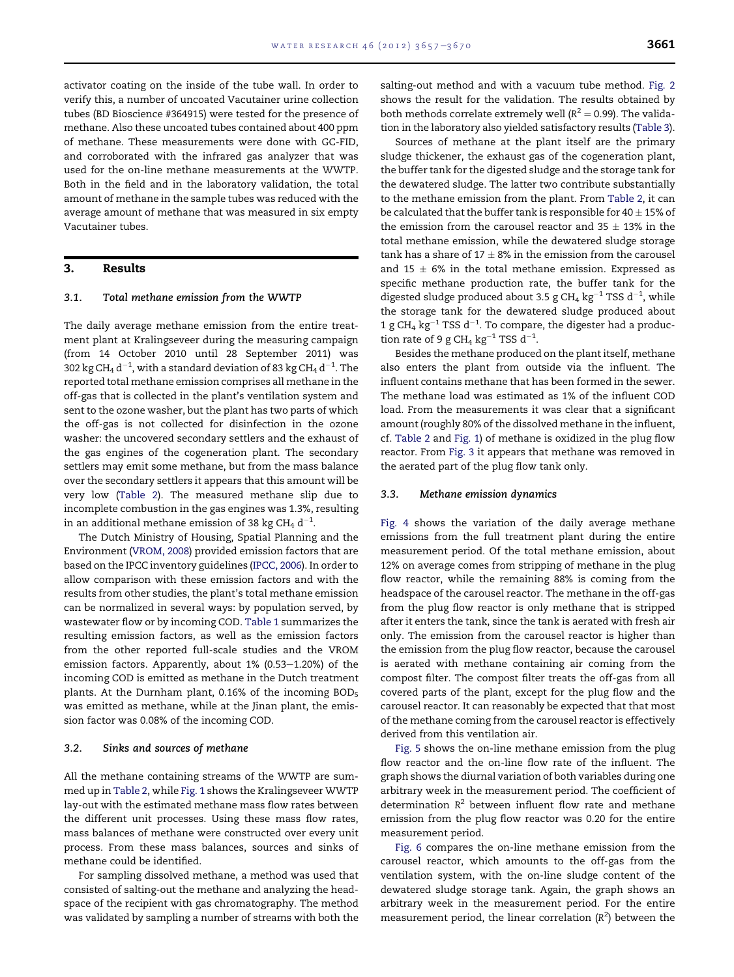activator coating on the inside of the tube wall. In order to verify this, a number of uncoated Vacutainer urine collection tubes (BD Bioscience #364915) were tested for the presence of methane. Also these uncoated tubes contained about 400 ppm of methane. These measurements were done with GC-FID, and corroborated with the infrared gas analyzer that was used for the on-line methane measurements at the WWTP. Both in the field and in the laboratory validation, the total amount of methane in the sample tubes was reduced with the average amount of methane that was measured in six empty Vacutainer tubes.

# 3. Results

## 3.1. Total methane emission from the WWTP

The daily average methane emission from the entire treatment plant at Kralingseveer during the measuring campaign (from 14 October 2010 until 28 September 2011) was 302 kg CH $_4$  d $^{-1}$ , with a standard deviation of 83 kg CH $_4$  d $^{-1}$ . The reported total methane emission comprises all methane in the off-gas that is collected in the plant's ventilation system and sent to the ozone washer, but the plant has two parts of which the off-gas is not collected for disinfection in the ozone washer: the uncovered secondary settlers and the exhaust of the gas engines of the cogeneration plant. The secondary settlers may emit some methane, but from the mass balance over the secondary settlers it appears that this amount will be very low ([Table 2\)](#page-5-0). The measured methane slip due to incomplete combustion in the gas engines was 1.3%, resulting in an additional methane emission of 38 kg CH $_4$  d $^{\rm -1}.$ 

The Dutch Ministry of Housing, Spatial Planning and the Environment [\(VROM, 2008](#page-12-0)) provided emission factors that are based on the IPCC inventory guidelines [\(IPCC, 2006\)](#page-12-0). In order to allow comparison with these emission factors and with the results from other studies, the plant's total methane emission can be normalized in several ways: by population served, by wastewater flow or by incoming COD. [Table 1](#page-1-0) summarizes the resulting emission factors, as well as the emission factors from the other reported full-scale studies and the VROM emission factors. Apparently, about 1% (0.53-1.20%) of the incoming COD is emitted as methane in the Dutch treatment plants. At the Durnham plant, 0.16% of the incoming BOD<sub>5</sub> was emitted as methane, while at the Jinan plant, the emission factor was 0.08% of the incoming COD.

#### 3.2. Sinks and sources of methane

All the methane containing streams of the WWTP are summed up in [Table 2,](#page-5-0) while [Fig. 1](#page-2-0) shows the Kralingseveer WWTP lay-out with the estimated methane mass flow rates between the different unit processes. Using these mass flow rates, mass balances of methane were constructed over every unit process. From these mass balances, sources and sinks of methane could be identified.

For sampling dissolved methane, a method was used that consisted of salting-out the methane and analyzing the headspace of the recipient with gas chromatography. The method was validated by sampling a number of streams with both the salting-out method and with a vacuum tube method. [Fig. 2](#page-6-0) shows the result for the validation. The results obtained by both methods correlate extremely well ( $R^2 = 0.99$ ). The validation in the laboratory also yielded satisfactory results ([Table 3](#page-6-0)).

Sources of methane at the plant itself are the primary sludge thickener, the exhaust gas of the cogeneration plant, the buffer tank for the digested sludge and the storage tank for the dewatered sludge. The latter two contribute substantially to the methane emission from the plant. From [Table 2,](#page-5-0) it can be calculated that the buffer tank is responsible for 40  $\pm$  15% of the emission from the carousel reactor and 35  $\pm$  13% in the total methane emission, while the dewatered sludge storage tank has a share of 17  $\pm$  8% in the emission from the carousel and 15  $\pm$  6% in the total methane emission. Expressed as specific methane production rate, the buffer tank for the digested sludge produced about 3.5 g CH<sub>4</sub> kg<sup>-1</sup> TSS d<sup>-1</sup>, while the storage tank for the dewatered sludge produced about 1 g CH<sub>4</sub>  $\text{kg}^{-1}$  TSS d<sup>-1</sup>. To compare, the digester had a production rate of 9 g CH<sub>4</sub>  $kg^{-1}$  TSS d<sup>-1</sup>.

Besides the methane produced on the plant itself, methane also enters the plant from outside via the influent. The influent contains methane that has been formed in the sewer. The methane load was estimated as 1% of the influent COD load. From the measurements it was clear that a significant amount (roughly 80% of the dissolved methane in the influent, cf. [Table 2](#page-5-0) and [Fig. 1](#page-2-0)) of methane is oxidized in the plug flow reactor. From [Fig. 3](#page-6-0) it appears that methane was removed in the aerated part of the plug flow tank only.

#### 3.3. Methane emission dynamics

[Fig. 4](#page-7-0) shows the variation of the daily average methane emissions from the full treatment plant during the entire measurement period. Of the total methane emission, about 12% on average comes from stripping of methane in the plug flow reactor, while the remaining 88% is coming from the headspace of the carousel reactor. The methane in the off-gas from the plug flow reactor is only methane that is stripped after it enters the tank, since the tank is aerated with fresh air only. The emission from the carousel reactor is higher than the emission from the plug flow reactor, because the carousel is aerated with methane containing air coming from the compost filter. The compost filter treats the off-gas from all covered parts of the plant, except for the plug flow and the carousel reactor. It can reasonably be expected that that most of the methane coming from the carousel reactor is effectively derived from this ventilation air.

[Fig. 5](#page-7-0) shows the on-line methane emission from the plug flow reactor and the on-line flow rate of the influent. The graph shows the diurnal variation of both variables during one arbitrary week in the measurement period. The coefficient of determination  $R^2$  between influent flow rate and methane emission from the plug flow reactor was 0.20 for the entire measurement period.

[Fig. 6](#page-8-0) compares the on-line methane emission from the carousel reactor, which amounts to the off-gas from the ventilation system, with the on-line sludge content of the dewatered sludge storage tank. Again, the graph shows an arbitrary week in the measurement period. For the entire measurement period, the linear correlation  $(R^2)$  between the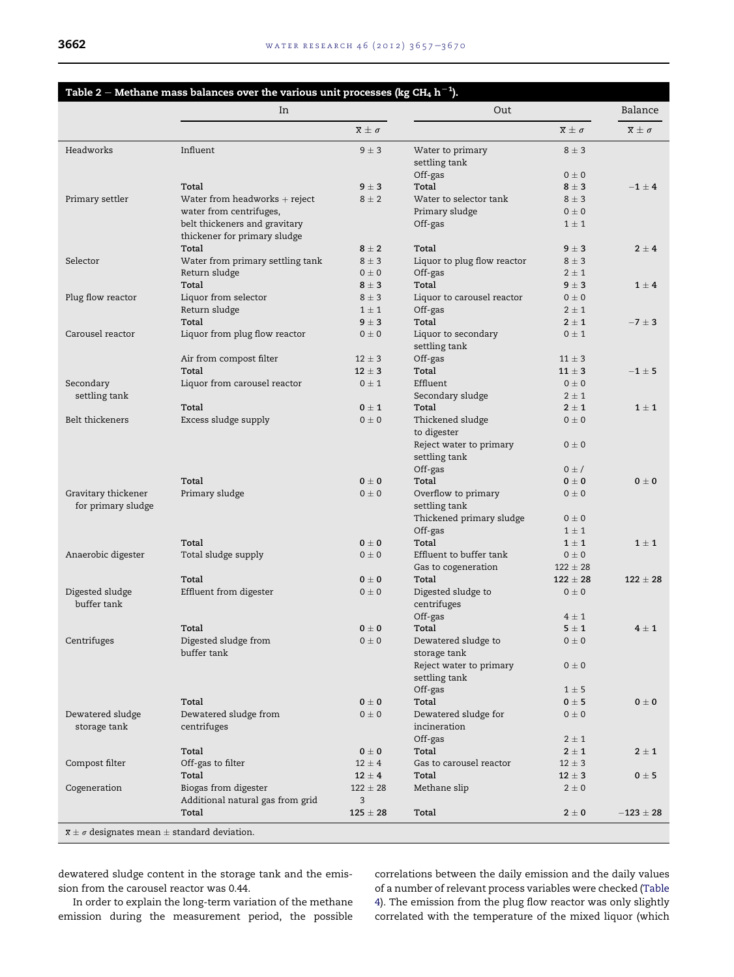<span id="page-5-0"></span>

|                                           | In                                                                                       |                           | Out                                                     |                           | Balance                   |
|-------------------------------------------|------------------------------------------------------------------------------------------|---------------------------|---------------------------------------------------------|---------------------------|---------------------------|
|                                           |                                                                                          | $\overline{x} \pm \sigma$ |                                                         | $\overline{x} \pm \sigma$ | $\overline{x} \pm \sigma$ |
| Headworks                                 | Influent                                                                                 | $9 \pm 3$                 | Water to primary<br>settling tank                       | $8 \pm 3$                 |                           |
|                                           |                                                                                          |                           | Off-gas                                                 | $0 \pm 0$                 |                           |
|                                           | Total                                                                                    | $9 \pm 3$                 | Total                                                   | $8 \pm 3$                 | $-1 + 4$                  |
| Primary settler                           | Water from headworks $+$ reject                                                          | $8 \pm 2$                 | Water to selector tank                                  | $8 \pm 3$                 |                           |
|                                           | water from centrifuges,<br>belt thickeners and gravitary<br>thickener for primary sludge |                           | Primary sludge<br>Off-gas                               | $0 \pm 0$<br>$1 \pm 1$    |                           |
|                                           | Total                                                                                    | $8 \pm 2$                 | Total                                                   | $9 \pm 3$                 | $2 \pm 4$                 |
| Selector                                  | Water from primary settling tank                                                         | $8 \pm 3$                 | Liquor to plug flow reactor                             | $8 \pm 3$                 |                           |
|                                           | Return sludge                                                                            | $0 \pm 0$                 | Off-gas                                                 | $2 \pm 1$                 |                           |
|                                           | Total                                                                                    | $8 \pm 3$                 | Total                                                   | $9 \pm 3$                 | $1 \pm 4$                 |
| Plug flow reactor                         | Liquor from selector                                                                     | $8 \pm 3$                 | Liquor to carousel reactor                              | $0\pm 0$                  |                           |
|                                           | Return sludge                                                                            | $1 \pm 1$                 | Off-gas                                                 | $2 \pm 1$                 |                           |
|                                           | Total                                                                                    | $9 \pm 3$                 | Total                                                   | $2 \pm 1$                 | $-7 \pm 3$                |
| Carousel reactor                          | Liquor from plug flow reactor                                                            | $0 \pm 0$                 | Liquor to secondary<br>settling tank                    | $0 \pm 1$                 |                           |
|                                           | Air from compost filter                                                                  | $12 \pm 3$                | Off-gas                                                 | $11 \pm 3$                |                           |
|                                           | Total                                                                                    | $12 \pm 3$                | Total                                                   | $11 + 3$                  | $-1\pm 5$                 |
| Secondary                                 | Liquor from carousel reactor                                                             | $0 \pm 1$                 | Effluent                                                | $0 \pm 0$                 |                           |
| settling tank                             |                                                                                          |                           | Secondary sludge                                        | $2 \pm 1$                 |                           |
|                                           | Total                                                                                    | $0 \pm 1$                 | Total                                                   | $2 \pm 1$                 | $1 \pm 1$                 |
| Belt thickeners                           | Excess sludge supply                                                                     | $0 \pm 0$                 | Thickened sludge                                        | $0 \pm 0$                 |                           |
|                                           |                                                                                          |                           | to digester<br>Reject water to primary<br>settling tank | $0\pm 0$                  |                           |
|                                           |                                                                                          |                           | Off-gas                                                 | $0 \pm I$                 |                           |
|                                           | Total                                                                                    | $0 \pm 0$                 | Total                                                   | $0 \pm 0$                 | $0 \pm 0$                 |
| Gravitary thickener<br>for primary sludge | Primary sludge                                                                           | $0 \pm 0$                 | Overflow to primary<br>settling tank                    | $0 \pm 0$                 |                           |
|                                           |                                                                                          |                           | Thickened primary sludge                                | $0\pm 0$                  |                           |
|                                           |                                                                                          |                           | Off-gas                                                 | $1 \pm 1$                 |                           |
|                                           | Total                                                                                    | $0\pm 0$                  | Total                                                   | $1 \pm 1$                 | $1 \pm 1$                 |
| Anaerobic digester                        | Total sludge supply                                                                      | $0\pm 0$                  | Effluent to buffer tank                                 | $0\pm 0$                  |                           |
|                                           |                                                                                          |                           | Gas to cogeneration                                     | $122 \pm 28$              |                           |
|                                           | Total                                                                                    | $0\pm 0$                  | Total                                                   | $122 + 28$                | $122 \pm 28$              |
| Digested sludge<br>buffer tank            | Effluent from digester                                                                   | $0 \pm 0$                 | Digested sludge to<br>centrifuges                       | $0 \pm 0$                 |                           |
|                                           |                                                                                          |                           | Off-gas                                                 | $4 \pm 1$                 |                           |
|                                           | Total                                                                                    | $0 \pm 0$                 | Total                                                   | $5 \pm 1$                 | $4 \pm 1$                 |
| Centrifuges                               | Digested sludge from<br>buffer tank                                                      | $0\pm0$                   | Dewatered sludge to<br>storage tank                     | $0 \pm 0$                 |                           |
|                                           |                                                                                          |                           | Reject water to primary<br>settling tank                | $0 \pm 0$                 |                           |
|                                           | Total                                                                                    |                           | Off-gas<br>Total                                        | $1 \pm 5$<br>$0 \pm 5$    | $0 \pm 0$                 |
|                                           |                                                                                          | $0 \pm 0$                 |                                                         |                           |                           |
| Dewatered sludge<br>storage tank          | Dewatered sludge from<br>centrifuges                                                     | $0\pm 0$                  | Dewatered sludge for<br>incineration                    | $0 \pm 0$                 |                           |
|                                           |                                                                                          |                           | Off-gas                                                 | $2 \pm 1$                 |                           |
|                                           | Total                                                                                    | $0 \pm 0$                 | Total                                                   | $2 \pm 1$                 | $2 \pm 1$                 |
| Compost filter                            | Off-gas to filter                                                                        | $12 \pm 4$                | Gas to carousel reactor                                 | $12 \pm 3$                |                           |
|                                           | Total                                                                                    | $12 \pm 4$                | Total                                                   | $12 \pm 3$                | $0 \pm 5$                 |
| Cogeneration                              | Biogas from digester                                                                     | $122 \pm 28$              | Methane slip                                            | $2 \pm 0$                 |                           |
|                                           | Additional natural gas from grid<br>Total                                                | 3<br>$125 \pm 28$         | Total                                                   | $2 \pm 0$                 | $-123 \pm 28$             |

dewatered sludge content in the storage tank and the emission from the carousel reactor was 0.44.

In order to explain the long-term variation of the methane emission during the measurement period, the possible correlations between the daily emission and the daily values of a number of relevant process variables were checked ([Table](#page-8-0) [4\)](#page-8-0). The emission from the plug flow reactor was only slightly correlated with the temperature of the mixed liquor (which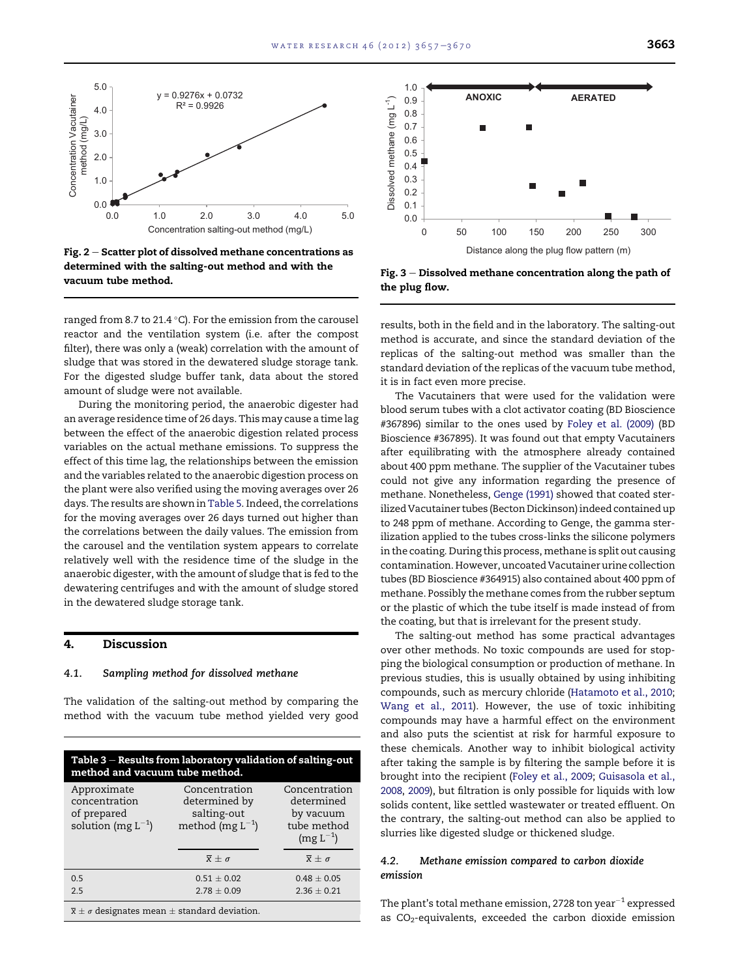<span id="page-6-0"></span>

Fig.  $2$  – Scatter plot of dissolved methane concentrations as determined with the salting-out method and with the vacuum tube method.

ranged from 8.7 to 21.4  $^{\circ}$ C). For the emission from the carousel reactor and the ventilation system (i.e. after the compost filter), there was only a (weak) correlation with the amount of sludge that was stored in the dewatered sludge storage tank. For the digested sludge buffer tank, data about the stored amount of sludge were not available.

During the monitoring period, the anaerobic digester had an average residence time of 26 days. This may cause a time lag between the effect of the anaerobic digestion related process variables on the actual methane emissions. To suppress the effect of this time lag, the relationships between the emission and the variables related to the anaerobic digestion process on the plant were also verified using the moving averages over 26 days. The results are shown in [Table 5](#page-9-0). Indeed, the correlations for the moving averages over 26 days turned out higher than the correlations between the daily values. The emission from the carousel and the ventilation system appears to correlate relatively well with the residence time of the sludge in the anaerobic digester, with the amount of sludge that is fed to the dewatering centrifuges and with the amount of sludge stored in the dewatered sludge storage tank.

# 4. Discussion

## 4.1. Sampling method for dissolved methane

The validation of the salting-out method by comparing the method with the vacuum tube method yielded very good

| Table $3$ – Results from laboratory validation of salting-out<br>method and vacuum tube method. |                                                                        |                                                                          |  |  |  |
|-------------------------------------------------------------------------------------------------|------------------------------------------------------------------------|--------------------------------------------------------------------------|--|--|--|
| Approximate<br>concentration<br>of prepared<br>solution (mg $L^{-1}$ )                          | Concentration<br>determined by<br>salting-out<br>method (mg $L^{-1}$ ) | Concentration<br>determined<br>by vacuum<br>tube method<br>$(mg L^{-1})$ |  |  |  |
|                                                                                                 | $\overline{x} + \sigma$                                                | $\overline{x} \pm \sigma$                                                |  |  |  |
| 0.5                                                                                             | $0.51 \pm 0.02$                                                        | $0.48 \pm 0.05$                                                          |  |  |  |
| 2.5                                                                                             | $2.78 \pm 0.09$                                                        | $2.36 \pm 0.21$                                                          |  |  |  |
| $\overline{x} + \sigma$ designates mean + standard deviation                                    |                                                                        |                                                                          |  |  |  |

 $\overline{\mathbf{x}} \pm \mathbf{\sigma}$  designates mean  $\pm$  standard deviation.



Fig.  $3$  – Dissolved methane concentration along the path of the plug flow.

results, both in the field and in the laboratory. The salting-out method is accurate, and since the standard deviation of the replicas of the salting-out method was smaller than the standard deviation of the replicas of the vacuum tube method, it is in fact even more precise.

The Vacutainers that were used for the validation were blood serum tubes with a clot activator coating (BD Bioscience #367896) similar to the ones used by [Foley et al. \(2009\)](#page-12-0) (BD Bioscience #367895). It was found out that empty Vacutainers after equilibrating with the atmosphere already contained about 400 ppm methane. The supplier of the Vacutainer tubes could not give any information regarding the presence of methane. Nonetheless, [Genge \(1991\)](#page-12-0) showed that coated sterilized Vacutainer tubes (Becton Dickinson) indeed contained up to 248 ppm of methane. According to Genge, the gamma sterilization applied to the tubes cross-links the silicone polymers in the coating. During this process, methane is split out causing contamination. However, uncoated Vacutainer urine collection tubes (BD Bioscience #364915) also contained about 400 ppm of methane. Possibly the methane comes from the rubber septum or the plastic of which the tube itself is made instead of from the coating, but that is irrelevant for the present study.

The salting-out method has some practical advantages over other methods. No toxic compounds are used for stopping the biological consumption or production of methane. In previous studies, this is usually obtained by using inhibiting compounds, such as mercury chloride [\(Hatamoto et al., 2010;](#page-12-0) [Wang et al., 2011\)](#page-12-0). However, the use of toxic inhibiting compounds may have a harmful effect on the environment and also puts the scientist at risk for harmful exposure to these chemicals. Another way to inhibit biological activity after taking the sample is by filtering the sample before it is brought into the recipient ([Foley et al., 2009](#page-12-0); [Guisasola et al.,](#page-12-0) [2008](#page-12-0), [2009\)](#page-12-0), but filtration is only possible for liquids with low solids content, like settled wastewater or treated effluent. On the contrary, the salting-out method can also be applied to slurries like digested sludge or thickened sludge.

# 4.2. Methane emission compared to carbon dioxide emission

The plant's total methane emission, 2728 ton year $^{-1}$  expressed as  $CO<sub>2</sub>$ -equivalents, exceeded the carbon dioxide emission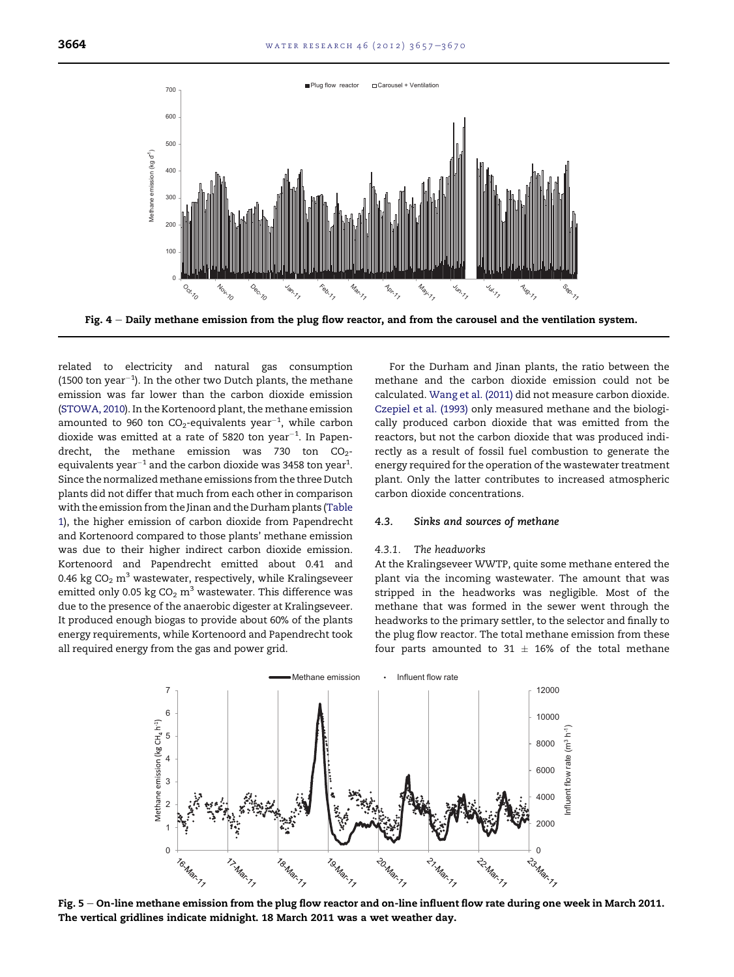<span id="page-7-0"></span>

Fig.  $4 -$  Daily methane emission from the plug flow reactor, and from the carousel and the ventilation system.

related to electricity and natural gas consumption (1500 ton year $^{-1}$ ). In the other two Dutch plants, the methane emission was far lower than the carbon dioxide emission ([STOWA, 2010](#page-12-0)). In the Kortenoord plant, the methane emission amounted to 960 ton  $CO_2$ -equivalents year $^{-1}$ , while carbon dioxide was emitted at a rate of 5820 ton year $^{-1}$ . In Papendrecht, the methane emission was 730 ton  $CO<sub>2</sub>$ equivalents year $^{-1}$  and the carbon dioxide was 3458 ton year $^1\!\!$ . Since the normalized methane emissions from the three Dutch plants did not differ that much from each other in comparison with the emission from the Jinan and the Durham plants [\(Table](#page-1-0) [1\)](#page-1-0), the higher emission of carbon dioxide from Papendrecht and Kortenoord compared to those plants' methane emission was due to their higher indirect carbon dioxide emission. Kortenoord and Papendrecht emitted about 0.41 and 0.46 kg  $CO<sub>2</sub>$  m<sup>3</sup> wastewater, respectively, while Kralingseveer emitted only 0.05 kg  $CO<sub>2</sub>$  m<sup>3</sup> wastewater. This difference was due to the presence of the anaerobic digester at Kralingseveer. It produced enough biogas to provide about 60% of the plants energy requirements, while Kortenoord and Papendrecht took all required energy from the gas and power grid.

For the Durham and Jinan plants, the ratio between the methane and the carbon dioxide emission could not be calculated. [Wang et al. \(2011\)](#page-12-0) did not measure carbon dioxide. [Czepiel et al. \(1993\)](#page-12-0) only measured methane and the biologically produced carbon dioxide that was emitted from the reactors, but not the carbon dioxide that was produced indirectly as a result of fossil fuel combustion to generate the energy required for the operation of the wastewater treatment plant. Only the latter contributes to increased atmospheric carbon dioxide concentrations.

#### 4.3. Sinks and sources of methane

#### 4.3.1. The headworks

At the Kralingseveer WWTP, quite some methane entered the plant via the incoming wastewater. The amount that was stripped in the headworks was negligible. Most of the methane that was formed in the sewer went through the headworks to the primary settler, to the selector and finally to the plug flow reactor. The total methane emission from these four parts amounted to 31  $\pm$  16% of the total methane



Fig. 5 – On-line methane emission from the plug flow reactor and on-line influent flow rate during one week in March 2011. The vertical gridlines indicate midnight. 18 March 2011 was a wet weather day.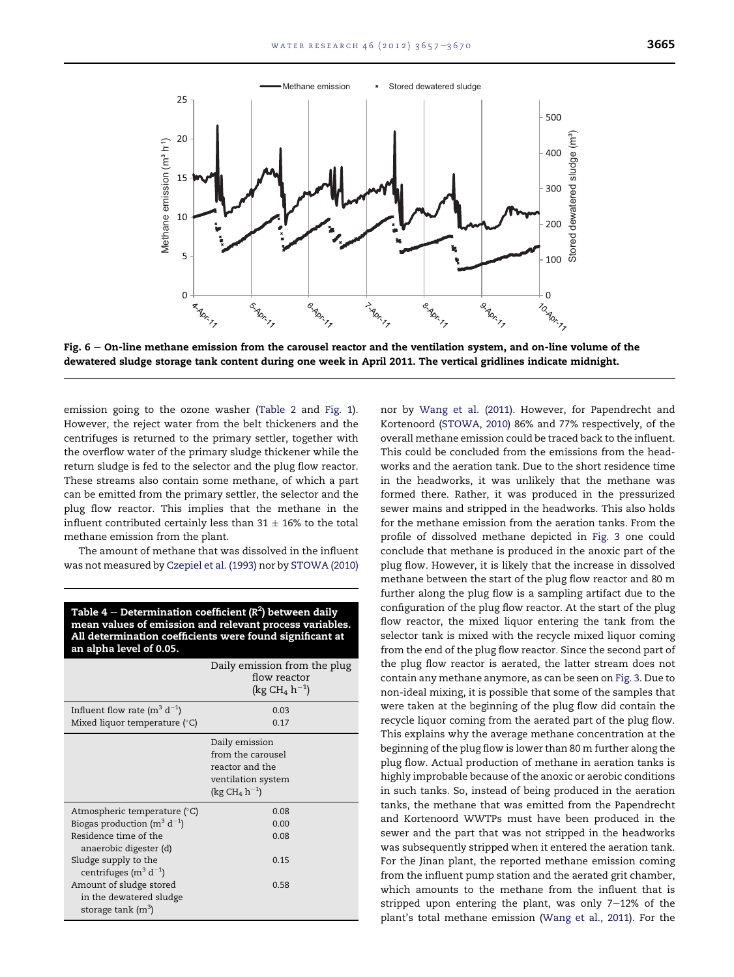<span id="page-8-0"></span>

Fig.  $6 -$  On-line methane emission from the carousel reactor and the ventilation system, and on-line volume of the dewatered sludge storage tank content during one week in April 2011. The vertical gridlines indicate midnight.

emission going to the ozone washer ([Table 2](#page-5-0) and [Fig. 1](#page-2-0)). However, the reject water from the belt thickeners and the centrifuges is returned to the primary settler, together with the overflow water of the primary sludge thickener while the return sludge is fed to the selector and the plug flow reactor. These streams also contain some methane, of which a part can be emitted from the primary settler, the selector and the plug flow reactor. This implies that the methane in the influent contributed certainly less than  $31 \pm 16\%$  to the total methane emission from the plant.

The amount of methane that was dissolved in the influent was not measured by [Czepiel et al. \(1993\)](#page-12-0) nor by [STOWA \(2010\)](#page-12-0)

| Table 4 – Determination coefficient ( $R^2$ ) between daily<br>mean values of emission and relevant process variables.<br>All determination coefficients were found significant at<br>an alpha level of 0.05. |                                                                                                |  |  |  |
|---------------------------------------------------------------------------------------------------------------------------------------------------------------------------------------------------------------|------------------------------------------------------------------------------------------------|--|--|--|
|                                                                                                                                                                                                               | Daily emission from the plug<br>flow reactor<br>(kg CH <sub>4</sub> $h^{-1}$ )                 |  |  |  |
| Influent flow rate ( $m^3 d^{-1}$ )<br>Mixed liquor temperature $(°C)$                                                                                                                                        | 0.03<br>0.17                                                                                   |  |  |  |
|                                                                                                                                                                                                               | Daily emission<br>from the carousel<br>reactor and the<br>ventilation system<br>$(kg CH4 h-1)$ |  |  |  |
| Atmospheric temperature (°C)                                                                                                                                                                                  | 0.08                                                                                           |  |  |  |
| Biogas production ( $m^3 d^{-1}$ )                                                                                                                                                                            | 0.00                                                                                           |  |  |  |
| Residence time of the<br>anaerobic digester (d)                                                                                                                                                               | 0.08                                                                                           |  |  |  |
| Sludge supply to the<br>centrifuges ( $m^3$ d <sup>-1</sup> )                                                                                                                                                 | 0.15                                                                                           |  |  |  |
| Amount of sludge stored<br>in the dewatered sludge<br>storage tank $(m^3)$                                                                                                                                    | 0.58                                                                                           |  |  |  |

nor by [Wang et al. \(2011\)](#page-12-0). However, for Papendrecht and Kortenoord ([STOWA, 2010](#page-12-0)) 86% and 77% respectively, of the overall methane emission could be traced back to the influent. This could be concluded from the emissions from the headworks and the aeration tank. Due to the short residence time in the headworks, it was unlikely that the methane was formed there. Rather, it was produced in the pressurized sewer mains and stripped in the headworks. This also holds for the methane emission from the aeration tanks. From the profile of dissolved methane depicted in [Fig. 3](#page-6-0) one could conclude that methane is produced in the anoxic part of the plug flow. However, it is likely that the increase in dissolved methane between the start of the plug flow reactor and 80 m further along the plug flow is a sampling artifact due to the configuration of the plug flow reactor. At the start of the plug flow reactor, the mixed liquor entering the tank from the selector tank is mixed with the recycle mixed liquor coming from the end of the plug flow reactor. Since the second part of the plug flow reactor is aerated, the latter stream does not contain any methane anymore, as can be seen on [Fig. 3](#page-6-0). Due to non-ideal mixing, it is possible that some of the samples that were taken at the beginning of the plug flow did contain the recycle liquor coming from the aerated part of the plug flow. This explains why the average methane concentration at the beginning of the plug flow is lower than 80 m further along the plug flow. Actual production of methane in aeration tanks is highly improbable because of the anoxic or aerobic conditions in such tanks. So, instead of being produced in the aeration tanks, the methane that was emitted from the Papendrecht and Kortenoord WWTPs must have been produced in the sewer and the part that was not stripped in the headworks was subsequently stripped when it entered the aeration tank. For the Jinan plant, the reported methane emission coming from the influent pump station and the aerated grit chamber, which amounts to the methane from the influent that is stripped upon entering the plant, was only  $7-12%$  of the plant's total methane emission ([Wang et al., 2011\)](#page-12-0). For the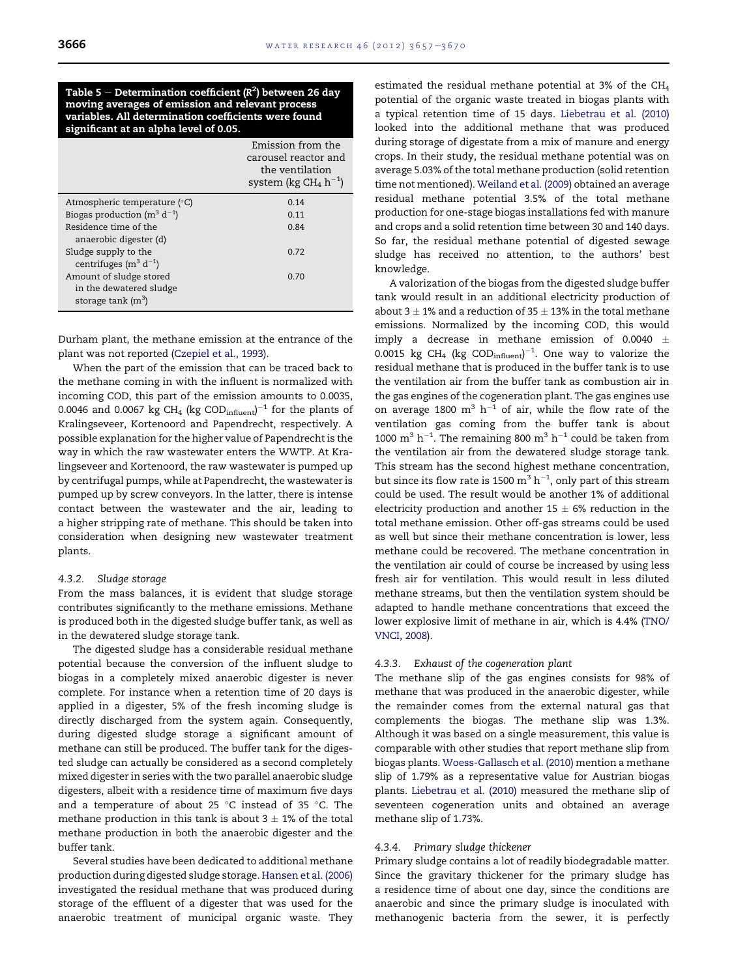<span id="page-9-0"></span>Table 5  $-$  Determination coefficient (R $^{2}$ ) between 26 day moving averages of emission and relevant process variables. All determination coefficients were found significant at an alpha level of 0.05.

|                                    | Emission from the<br>carousel reactor and<br>the ventilation<br>system (kg $CH_4 h^{-1}$ ) |
|------------------------------------|--------------------------------------------------------------------------------------------|
| Atmospheric temperature (°C)       | 0.14                                                                                       |
| Biogas production ( $m^3 d^{-1}$ ) | 0.11                                                                                       |
| Residence time of the              | 0.84                                                                                       |
| anaerobic digester (d)             |                                                                                            |
| Sludge supply to the               | 0.72                                                                                       |
| centrifuges ( $m^3 d^{-1}$ )       |                                                                                            |
| Amount of sludge stored            | 0.70                                                                                       |
| in the dewatered sludge            |                                                                                            |
| storage tank $(m^3)$               |                                                                                            |

Durham plant, the methane emission at the entrance of the plant was not reported ([Czepiel et al., 1993\)](#page-12-0).

When the part of the emission that can be traced back to the methane coming in with the influent is normalized with incoming COD, this part of the emission amounts to 0.0035, 0.0046 and 0.0067 kg CH $_4$  (kg COD $_{\rm influent}$ ) $^{-1}$  for the plants of Kralingseveer, Kortenoord and Papendrecht, respectively. A possible explanation for the higher value of Papendrecht is the way in which the raw wastewater enters the WWTP. At Kralingseveer and Kortenoord, the raw wastewater is pumped up by centrifugal pumps, while at Papendrecht, the wastewater is pumped up by screw conveyors. In the latter, there is intense contact between the wastewater and the air, leading to a higher stripping rate of methane. This should be taken into consideration when designing new wastewater treatment plants.

## 4.3.2. Sludge storage

From the mass balances, it is evident that sludge storage contributes significantly to the methane emissions. Methane is produced both in the digested sludge buffer tank, as well as in the dewatered sludge storage tank.

The digested sludge has a considerable residual methane potential because the conversion of the influent sludge to biogas in a completely mixed anaerobic digester is never complete. For instance when a retention time of 20 days is applied in a digester, 5% of the fresh incoming sludge is directly discharged from the system again. Consequently, during digested sludge storage a significant amount of methane can still be produced. The buffer tank for the digested sludge can actually be considered as a second completely mixed digester in series with the two parallel anaerobic sludge digesters, albeit with a residence time of maximum five days and a temperature of about 25  $^\circ\textsf{C}$  instead of 35  $^\circ\textsf{C}.$  The methane production in this tank is about  $3 \pm 1\%$  of the total methane production in both the anaerobic digester and the buffer tank.

Several studies have been dedicated to additional methane production during digested sludge storage. [Hansen et al. \(2006\)](#page-12-0) investigated the residual methane that was produced during storage of the effluent of a digester that was used for the anaerobic treatment of municipal organic waste. They

estimated the residual methane potential at 3% of the CH4 potential of the organic waste treated in biogas plants with a typical retention time of 15 days. [Liebetrau et al. \(2010\)](#page-12-0) looked into the additional methane that was produced during storage of digestate from a mix of manure and energy crops. In their study, the residual methane potential was on average 5.03% of the total methane production (solid retention time not mentioned). [Weiland et al. \(2009\)](#page-13-0) obtained an average residual methane potential 3.5% of the total methane production for one-stage biogas installations fed with manure and crops and a solid retention time between 30 and 140 days. So far, the residual methane potential of digested sewage sludge has received no attention, to the authors' best knowledge.

A valorization of the biogas from the digested sludge buffer tank would result in an additional electricity production of about 3  $\pm$  1% and a reduction of 35  $\pm$  13% in the total methane emissions. Normalized by the incoming COD, this would imply a decrease in methane emission of 0.0040  $\pm$ 0.0015 kg CH<sub>4</sub> (kg COD $_{\text{influent}}$ )<sup>-1</sup>. One way to valorize the residual methane that is produced in the buffer tank is to use the ventilation air from the buffer tank as combustion air in the gas engines of the cogeneration plant. The gas engines use on average 1800  $m^3$  h<sup>-1</sup> of air, while the flow rate of the ventilation gas coming from the buffer tank is about 1000  $m^3$  h<sup>-1</sup>. The remaining 800  $m^3$  h<sup>-1</sup> could be taken from the ventilation air from the dewatered sludge storage tank. This stream has the second highest methane concentration, but since its flow rate is 1500  $\mathrm{m^{3}\,h^{-1}}$ , only part of this stream could be used. The result would be another 1% of additional electricity production and another  $15 \pm 6\%$  reduction in the total methane emission. Other off-gas streams could be used as well but since their methane concentration is lower, less methane could be recovered. The methane concentration in the ventilation air could of course be increased by using less fresh air for ventilation. This would result in less diluted methane streams, but then the ventilation system should be adapted to handle methane concentrations that exceed the lower explosive limit of methane in air, which is 4.4% ([TNO/](#page-12-0) [VNCI, 2008\)](#page-12-0).

## 4.3.3. Exhaust of the cogeneration plant

The methane slip of the gas engines consists for 98% of methane that was produced in the anaerobic digester, while the remainder comes from the external natural gas that complements the biogas. The methane slip was 1.3%. Although it was based on a single measurement, this value is comparable with other studies that report methane slip from biogas plants. [Woess-Gallasch et al. \(2010\)](#page-13-0) mention a methane slip of 1.79% as a representative value for Austrian biogas plants. [Liebetrau et al. \(2010\)](#page-12-0) measured the methane slip of seventeen cogeneration units and obtained an average methane slip of 1.73%.

#### 4.3.4. Primary sludge thickener

Primary sludge contains a lot of readily biodegradable matter. Since the gravitary thickener for the primary sludge has a residence time of about one day, since the conditions are anaerobic and since the primary sludge is inoculated with methanogenic bacteria from the sewer, it is perfectly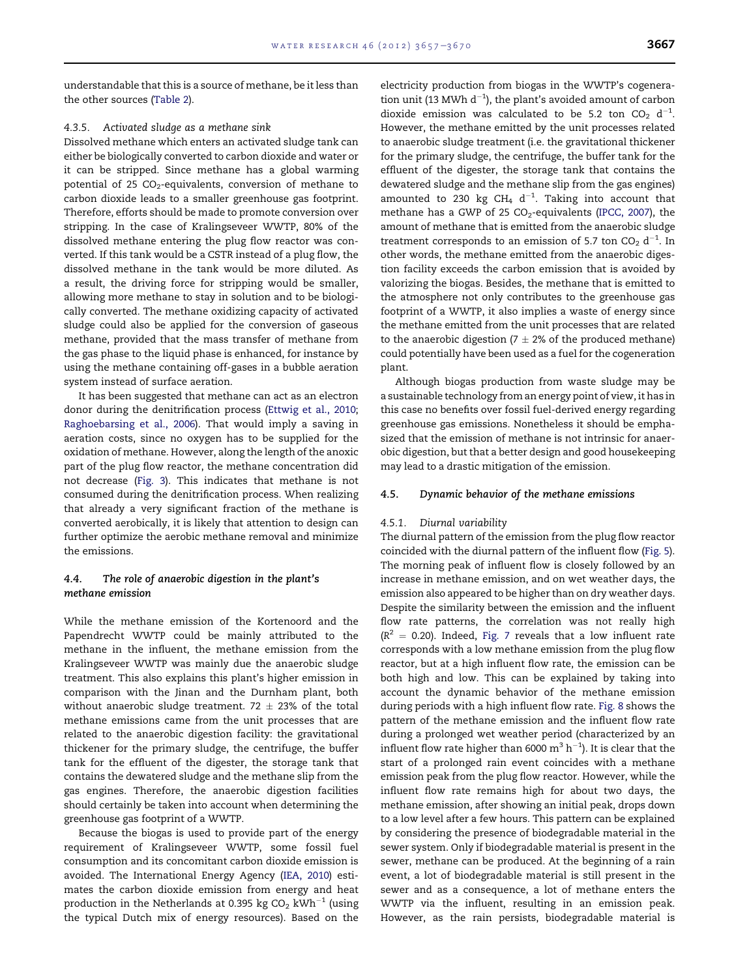understandable that this is a source of methane, be it less than the other sources ([Table 2](#page-5-0)).

#### 4.3.5. Activated sludge as a methane sink

Dissolved methane which enters an activated sludge tank can either be biologically converted to carbon dioxide and water or it can be stripped. Since methane has a global warming potential of 25  $CO<sub>2</sub>$ -equivalents, conversion of methane to carbon dioxide leads to a smaller greenhouse gas footprint. Therefore, efforts should be made to promote conversion over stripping. In the case of Kralingseveer WWTP, 80% of the dissolved methane entering the plug flow reactor was converted. If this tank would be a CSTR instead of a plug flow, the dissolved methane in the tank would be more diluted. As a result, the driving force for stripping would be smaller, allowing more methane to stay in solution and to be biologically converted. The methane oxidizing capacity of activated sludge could also be applied for the conversion of gaseous methane, provided that the mass transfer of methane from the gas phase to the liquid phase is enhanced, for instance by using the methane containing off-gases in a bubble aeration system instead of surface aeration.

It has been suggested that methane can act as an electron donor during the denitrification process ([Ettwig et al., 2010;](#page-12-0) [Raghoebarsing et al., 2006](#page-12-0)). That would imply a saving in aeration costs, since no oxygen has to be supplied for the oxidation of methane. However, along the length of the anoxic part of the plug flow reactor, the methane concentration did not decrease [\(Fig. 3](#page-6-0)). This indicates that methane is not consumed during the denitrification process. When realizing that already a very significant fraction of the methane is converted aerobically, it is likely that attention to design can further optimize the aerobic methane removal and minimize the emissions.

# 4.4. The role of anaerobic digestion in the plant's methane emission

While the methane emission of the Kortenoord and the Papendrecht WWTP could be mainly attributed to the methane in the influent, the methane emission from the Kralingseveer WWTP was mainly due the anaerobic sludge treatment. This also explains this plant's higher emission in comparison with the Jinan and the Durnham plant, both without anaerobic sludge treatment. 72  $\pm$  23% of the total methane emissions came from the unit processes that are related to the anaerobic digestion facility: the gravitational thickener for the primary sludge, the centrifuge, the buffer tank for the effluent of the digester, the storage tank that contains the dewatered sludge and the methane slip from the gas engines. Therefore, the anaerobic digestion facilities should certainly be taken into account when determining the greenhouse gas footprint of a WWTP.

Because the biogas is used to provide part of the energy requirement of Kralingseveer WWTP, some fossil fuel consumption and its concomitant carbon dioxide emission is avoided. The International Energy Agency ([IEA, 2010](#page-12-0)) estimates the carbon dioxide emission from energy and heat production in the Netherlands at 0.395 kg  $CO<sub>2</sub>$  kWh<sup>-1</sup> (using the typical Dutch mix of energy resources). Based on the

electricity production from biogas in the WWTP's cogeneration unit (13 MWh  $d^{-1}$ ), the plant's avoided amount of carbon dioxide emission was calculated to be 5.2 ton  $CO_2$  d<sup>-1</sup>. However, the methane emitted by the unit processes related to anaerobic sludge treatment (i.e. the gravitational thickener for the primary sludge, the centrifuge, the buffer tank for the effluent of the digester, the storage tank that contains the dewatered sludge and the methane slip from the gas engines) amounted to 230 kg CH<sub>4</sub>  $d^{-1}$ . Taking into account that methane has a GWP of 25  $CO<sub>2</sub>$ -equivalents [\(IPCC, 2007](#page-12-0)), the amount of methane that is emitted from the anaerobic sludge treatment corresponds to an emission of 5.7 ton  $CO<sub>2</sub> d<sup>-1</sup>$ . In other words, the methane emitted from the anaerobic digestion facility exceeds the carbon emission that is avoided by valorizing the biogas. Besides, the methane that is emitted to the atmosphere not only contributes to the greenhouse gas footprint of a WWTP, it also implies a waste of energy since the methane emitted from the unit processes that are related to the anaerobic digestion ( $7 \pm 2\%$  of the produced methane) could potentially have been used as a fuel for the cogeneration plant.

Although biogas production from waste sludge may be a sustainable technology from an energy point of view, it has in this case no benefits over fossil fuel-derived energy regarding greenhouse gas emissions. Nonetheless it should be emphasized that the emission of methane is not intrinsic for anaerobic digestion, but that a better design and good housekeeping may lead to a drastic mitigation of the emission.

#### 4.5. Dynamic behavior of the methane emissions

#### 4.5.1. Diurnal variability

The diurnal pattern of the emission from the plug flow reactor coincided with the diurnal pattern of the influent flow [\(Fig. 5](#page-7-0)). The morning peak of influent flow is closely followed by an increase in methane emission, and on wet weather days, the emission also appeared to be higher than on dry weather days. Despite the similarity between the emission and the influent flow rate patterns, the correlation was not really high  $(R<sup>2</sup> = 0.20)$ . Indeed, [Fig. 7](#page-11-0) reveals that a low influent rate corresponds with a low methane emission from the plug flow reactor, but at a high influent flow rate, the emission can be both high and low. This can be explained by taking into account the dynamic behavior of the methane emission during periods with a high influent flow rate. [Fig. 8](#page-11-0) shows the pattern of the methane emission and the influent flow rate during a prolonged wet weather period (characterized by an influent flow rate higher than 6000  $\mathrm{m}^{3}$  h $^{-1}$ ). It is clear that the start of a prolonged rain event coincides with a methane emission peak from the plug flow reactor. However, while the influent flow rate remains high for about two days, the methane emission, after showing an initial peak, drops down to a low level after a few hours. This pattern can be explained by considering the presence of biodegradable material in the sewer system. Only if biodegradable material is present in the sewer, methane can be produced. At the beginning of a rain event, a lot of biodegradable material is still present in the sewer and as a consequence, a lot of methane enters the WWTP via the influent, resulting in an emission peak. However, as the rain persists, biodegradable material is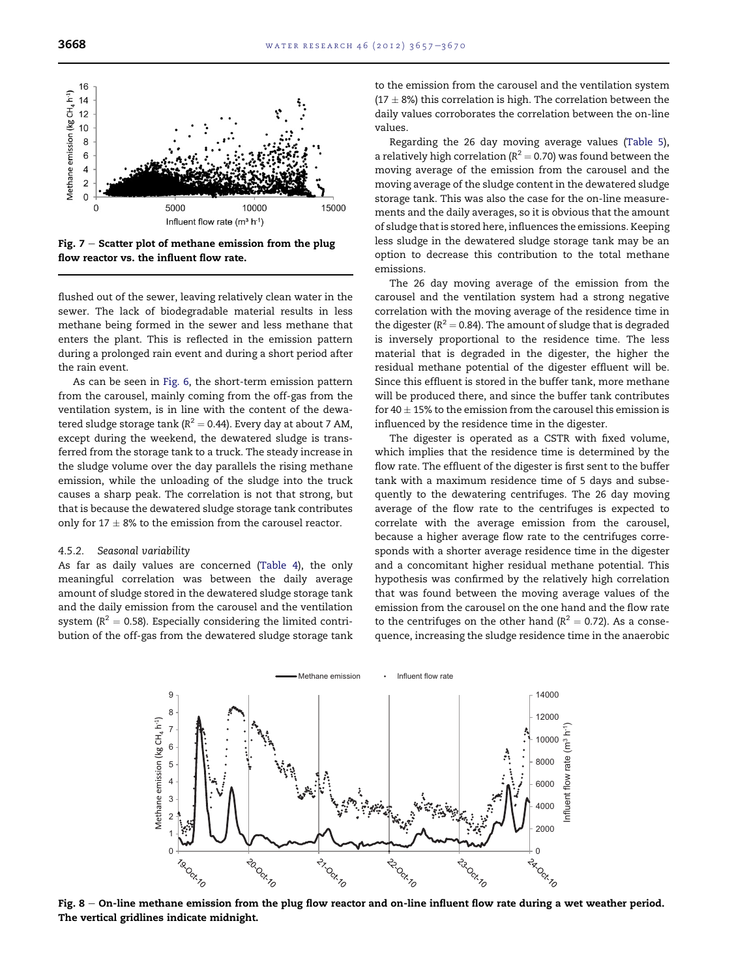<span id="page-11-0"></span>

Fig.  $7 -$  Scatter plot of methane emission from the plug flow reactor vs. the influent flow rate.

flushed out of the sewer, leaving relatively clean water in the sewer. The lack of biodegradable material results in less methane being formed in the sewer and less methane that enters the plant. This is reflected in the emission pattern during a prolonged rain event and during a short period after the rain event.

As can be seen in [Fig. 6](#page-8-0), the short-term emission pattern from the carousel, mainly coming from the off-gas from the ventilation system, is in line with the content of the dewatered sludge storage tank ( $R^2 = 0.44$ ). Every day at about 7 AM, except during the weekend, the dewatered sludge is transferred from the storage tank to a truck. The steady increase in the sludge volume over the day parallels the rising methane emission, while the unloading of the sludge into the truck causes a sharp peak. The correlation is not that strong, but that is because the dewatered sludge storage tank contributes only for 17  $\pm$  8% to the emission from the carousel reactor.

#### 4.5.2. Seasonal variability

As far as daily values are concerned [\(Table 4\)](#page-8-0), the only meaningful correlation was between the daily average amount of sludge stored in the dewatered sludge storage tank and the daily emission from the carousel and the ventilation system ( $R^2 = 0.58$ ). Especially considering the limited contribution of the off-gas from the dewatered sludge storage tank

to the emission from the carousel and the ventilation system (17  $\pm$  8%) this correlation is high. The correlation between the daily values corroborates the correlation between the on-line values.

Regarding the 26 day moving average values [\(Table 5\)](#page-9-0), a relatively high correlation ( $R^2 = 0.70$ ) was found between the moving average of the emission from the carousel and the moving average of the sludge content in the dewatered sludge storage tank. This was also the case for the on-line measurements and the daily averages, so it is obvious that the amount of sludge that is stored here, influences the emissions. Keeping less sludge in the dewatered sludge storage tank may be an option to decrease this contribution to the total methane emissions.

The 26 day moving average of the emission from the carousel and the ventilation system had a strong negative correlation with the moving average of the residence time in the digester ( $R^2 = 0.84$ ). The amount of sludge that is degraded is inversely proportional to the residence time. The less material that is degraded in the digester, the higher the residual methane potential of the digester effluent will be. Since this effluent is stored in the buffer tank, more methane will be produced there, and since the buffer tank contributes for 40  $\pm$  15% to the emission from the carousel this emission is influenced by the residence time in the digester.

The digester is operated as a CSTR with fixed volume, which implies that the residence time is determined by the flow rate. The effluent of the digester is first sent to the buffer tank with a maximum residence time of 5 days and subsequently to the dewatering centrifuges. The 26 day moving average of the flow rate to the centrifuges is expected to correlate with the average emission from the carousel, because a higher average flow rate to the centrifuges corresponds with a shorter average residence time in the digester and a concomitant higher residual methane potential. This hypothesis was confirmed by the relatively high correlation that was found between the moving average values of the emission from the carousel on the one hand and the flow rate to the centrifuges on the other hand ( $R^2 = 0.72$ ). As a consequence, increasing the sludge residence time in the anaerobic



Fig.  $8 -$  On-line methane emission from the plug flow reactor and on-line influent flow rate during a wet weather period. The vertical gridlines indicate midnight.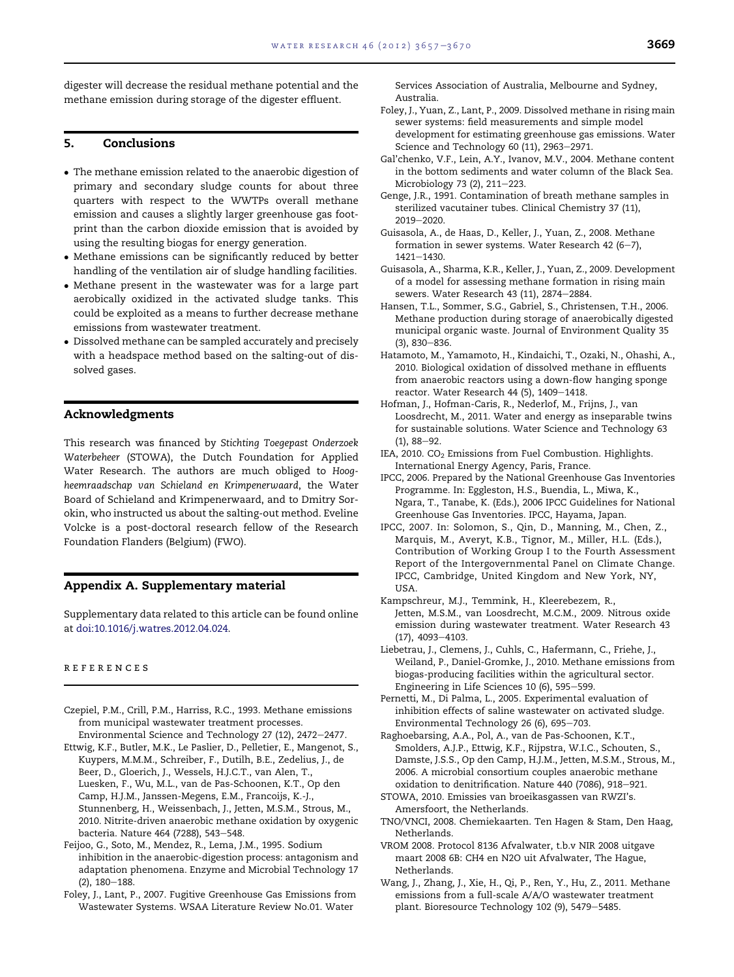<span id="page-12-0"></span>digester will decrease the residual methane potential and the methane emission during storage of the digester effluent.

# 5. Conclusions

- The methane emission related to the anaerobic digestion of primary and secondary sludge counts for about three quarters with respect to the WWTPs overall methane emission and causes a slightly larger greenhouse gas footprint than the carbon dioxide emission that is avoided by using the resulting biogas for energy generation.
- Methane emissions can be significantly reduced by better handling of the ventilation air of sludge handling facilities.
- Methane present in the wastewater was for a large part aerobically oxidized in the activated sludge tanks. This could be exploited as a means to further decrease methane emissions from wastewater treatment.
- Dissolved methane can be sampled accurately and precisely with a headspace method based on the salting-out of dissolved gases.

# Acknowledgments

This research was financed by Stichting Toegepast Onderzoek Waterbeheer (STOWA), the Dutch Foundation for Applied Water Research. The authors are much obliged to Hoogheemraadschap van Schieland en Krimpenerwaard, the Water Board of Schieland and Krimpenerwaard, and to Dmitry Sorokin, who instructed us about the salting-out method. Eveline Volcke is a post-doctoral research fellow of the Research Foundation Flanders (Belgium) (FWO).

#### Appendix A. Supplementary material

Supplementary data related to this article can be found online at [doi:10.1016/j.watres.2012.04.024](http://dx.doi.org/10.1016/j.watres.2012.04.024).

## references

- Czepiel, P.M., Crill, P.M., Harriss, R.C., 1993. Methane emissions from municipal wastewater treatment processes. Environmental Science and Technology 27 (12), 2472-2477.
- Ettwig, K.F., Butler, M.K., Le Paslier, D., Pelletier, E., Mangenot, S., Kuypers, M.M.M., Schreiber, F., Dutilh, B.E., Zedelius, J., de Beer, D., Gloerich, J., Wessels, H.J.C.T., van Alen, T., Luesken, F., Wu, M.L., van de Pas-Schoonen, K.T., Op den Camp, H.J.M., Janssen-Megens, E.M., Francoijs, K.-J., Stunnenberg, H., Weissenbach, J., Jetten, M.S.M., Strous, M., 2010. Nitrite-driven anaerobic methane oxidation by oxygenic bacteria. Nature 464 (7288), 543-548.
- Feijoo, G., Soto, M., Mendez, R., Lema, J.M., 1995. Sodium inhibition in the anaerobic-digestion process: antagonism and adaptation phenomena. Enzyme and Microbial Technology 17  $(2)$ , 180 $-188$ .
- Foley, J., Lant, P., 2007. Fugitive Greenhouse Gas Emissions from Wastewater Systems. WSAA Literature Review No.01. Water

Services Association of Australia, Melbourne and Sydney, Australia.

- Foley, J., Yuan, Z., Lant, P., 2009. Dissolved methane in rising main sewer systems: field measurements and simple model development for estimating greenhouse gas emissions. Water Science and Technology 60 (11), 2963-2971.
- Gal'chenko, V.F., Lein, A.Y., Ivanov, M.V., 2004. Methane content in the bottom sediments and water column of the Black Sea. Microbiology 73 (2), 211-223.
- Genge, J.R., 1991. Contamination of breath methane samples in sterilized vacutainer tubes. Clinical Chemistry 37 (11), 2019-2020.
- Guisasola, A., de Haas, D., Keller, J., Yuan, Z., 2008. Methane formation in sewer systems. Water Research 42  $(6-7)$ , 1421-1430.
- Guisasola, A., Sharma, K.R., Keller, J., Yuan, Z., 2009. Development of a model for assessing methane formation in rising main sewers. Water Research 43 (11), 2874-2884.
- Hansen, T.L., Sommer, S.G., Gabriel, S., Christensen, T.H., 2006. Methane production during storage of anaerobically digested municipal organic waste. Journal of Environment Quality 35  $(3)$ , 830-836.
- Hatamoto, M., Yamamoto, H., Kindaichi, T., Ozaki, N., Ohashi, A., 2010. Biological oxidation of dissolved methane in effluents from anaerobic reactors using a down-flow hanging sponge reactor. Water Research 44 (5), 1409-1418.
- Hofman, J., Hofman-Caris, R., Nederlof, M., Frijns, J., van Loosdrecht, M., 2011. Water and energy as inseparable twins for sustainable solutions. Water Science and Technology 63  $(1), 88 - 92.$
- IEA, 2010. CO<sub>2</sub> Emissions from Fuel Combustion. Highlights. International Energy Agency, Paris, France.
- IPCC, 2006. Prepared by the National Greenhouse Gas Inventories Programme. In: Eggleston, H.S., Buendia, L., Miwa, K., Ngara, T., Tanabe, K. (Eds.), 2006 IPCC Guidelines for National Greenhouse Gas Inventories. IPCC, Hayama, Japan.
- IPCC, 2007. In: Solomon, S., Qin, D., Manning, M., Chen, Z., Marquis, M., Averyt, K.B., Tignor, M., Miller, H.L. (Eds.), Contribution of Working Group I to the Fourth Assessment Report of the Intergovernmental Panel on Climate Change. IPCC, Cambridge, United Kingdom and New York, NY, USA.
- Kampschreur, M.J., Temmink, H., Kleerebezem, R., Jetten, M.S.M., van Loosdrecht, M.C.M., 2009. Nitrous oxide emission during wastewater treatment. Water Research 43  $(17)$ , 4093-4103.
- Liebetrau, J., Clemens, J., Cuhls, C., Hafermann, C., Friehe, J., Weiland, P., Daniel-Gromke, J., 2010. Methane emissions from biogas-producing facilities within the agricultural sector. Engineering in Life Sciences 10 (6), 595-599.
- Pernetti, M., Di Palma, L., 2005. Experimental evaluation of inhibition effects of saline wastewater on activated sludge. Environmental Technology 26 (6), 695-703.

Raghoebarsing, A.A., Pol, A., van de Pas-Schoonen, K.T., Smolders, A.J.P., Ettwig, K.F., Rijpstra, W.I.C., Schouten, S., Damste, J.S.S., Op den Camp, H.J.M., Jetten, M.S.M., Strous, M., 2006. A microbial consortium couples anaerobic methane oxidation to denitrification. Nature 440 (7086), 918-921.

- STOWA, 2010. Emissies van broeikasgassen van RWZI's. Amersfoort, the Netherlands.
- TNO/VNCI, 2008. Chemiekaarten. Ten Hagen & Stam, Den Haag, Netherlands.
- VROM 2008. Protocol 8136 Afvalwater, t.b.v NIR 2008 uitgave maart 2008 6B: CH4 en N2O uit Afvalwater, The Hague, Netherlands.
- Wang, J., Zhang, J., Xie, H., Qi, P., Ren, Y., Hu, Z., 2011. Methane emissions from a full-scale A/A/O wastewater treatment plant. Bioresource Technology 102 (9), 5479-5485.